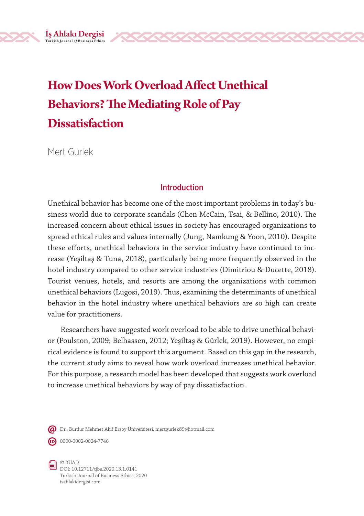# **How Does Work Overload Affect Unethical Behaviors? The Mediating Role of Pay Dissatisfaction**

Mert Gürlek

İş Ahlakı Dergisi **Turkish Journal** *of* **Business Ethics**

## **Introduction**

Unethical behavior has become one of the most important problems in today's business world due to corporate scandals (Chen McCain, Tsai, & Bellino, 2010). The increased concern about ethical issues in society has encouraged organizations to spread ethical rules and values internally (Jung, Namkung & Yoon, 2010). Despite these efforts, unethical behaviors in the service industry have continued to increase (Yeşiltaş & Tuna, 2018), particularly being more frequently observed in the hotel industry compared to other service industries (Dimitriou & Ducette, 2018). Tourist venues, hotels, and resorts are among the organizations with common unethical behaviors (Lugosi, 2019). Thus, examining the determinants of unethical behavior in the hotel industry where unethical behaviors are so high can create value for practitioners.

Researchers have suggested work overload to be able to drive unethical behavior (Poulston, 2009; Belhassen, 2012; Yeşiltaş & Gürlek, 2019). However, no empirical evidence is found to support this argument. Based on this gap in the research, the current study aims to reveal how work overload increases unethical behavior. For this purpose, a research model has been developed that suggests work overload to increase unethical behaviors by way of pay dissatisfaction.

Dr., Burdur Mehmet Akif Ersoy Üniversitesi, mertgurlek89@hotmail.com

 $\text{ID}$  0000-0002-0024-7746



© İGİAD DOI: 10.12711/tjbe.2020.13.1.0141 Turkish Journal of Business Ethics, 2020 isahlakidergisi.com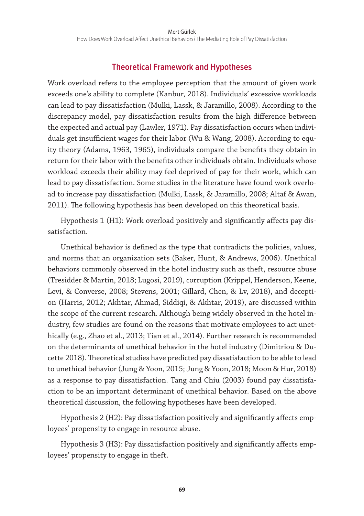# **Theoretical Framework and Hypotheses**

Work overload refers to the employee perception that the amount of given work exceeds one's ability to complete (Kanbur, 2018). Individuals' excessive workloads can lead to pay dissatisfaction (Mulki, Lassk, & Jaramillo, 2008). According to the discrepancy model, pay dissatisfaction results from the high difference between the expected and actual pay (Lawler, 1971). Pay dissatisfaction occurs when individuals get insufficient wages for their labor (Wu & Wang, 2008). According to equity theory (Adams, 1963, 1965), individuals compare the benefits they obtain in return for their labor with the benefits other individuals obtain. Individuals whose workload exceeds their ability may feel deprived of pay for their work, which can lead to pay dissatisfaction. Some studies in the literature have found work overload to increase pay dissatisfaction (Mulki, Lassk, & Jaramillo, 2008; Altaf & Awan, 2011). The following hypothesis has been developed on this theoretical basis.

Hypothesis 1 (H1): Work overload positively and significantly affects pay dissatisfaction.

Unethical behavior is defined as the type that contradicts the policies, values, and norms that an organization sets (Baker, Hunt, & Andrews, 2006). Unethical behaviors commonly observed in the hotel industry such as theft, resource abuse (Tresidder & Martin, 2018; Lugosi, 2019), corruption (Krippel, Henderson, Keene, Levi, & Converse, 2008; Stevens, 2001; Gillard, Chen, & Lv, 2018), and deception (Harris, 2012; Akhtar, Ahmad, Siddiqi, & Akhtar, 2019), are discussed within the scope of the current research. Although being widely observed in the hotel industry, few studies are found on the reasons that motivate employees to act unethically (e.g., Zhao et al., 2013; Tian et al., 2014). Further research is recommended on the determinants of unethical behavior in the hotel industry (Dimitriou & Ducette 2018). Theoretical studies have predicted pay dissatisfaction to be able to lead to unethical behavior (Jung & Yoon, 2015; Jung & Yoon, 2018; Moon & Hur, 2018) as a response to pay dissatisfaction. Tang and Chiu (2003) found pay dissatisfaction to be an important determinant of unethical behavior. Based on the above theoretical discussion, the following hypotheses have been developed.

Hypothesis 2 (H2): Pay dissatisfaction positively and significantly affects employees' propensity to engage in resource abuse.

Hypothesis 3 (H3): Pay dissatisfaction positively and significantly affects employees' propensity to engage in theft.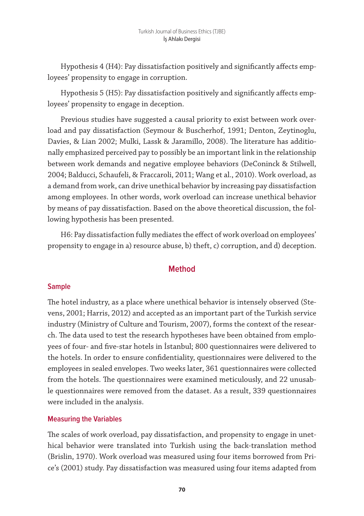Hypothesis 4 (H4): Pay dissatisfaction positively and significantly affects employees' propensity to engage in corruption.

Hypothesis 5 (H5): Pay dissatisfaction positively and significantly affects employees' propensity to engage in deception.

Previous studies have suggested a causal priority to exist between work overload and pay dissatisfaction (Seymour & Buscherhof, 1991; Denton, Zeytinoglu, Davies, & Lian 2002; Mulki, Lassk & Jaramillo, 2008). The literature has additionally emphasized perceived pay to possibly be an important link in the relationship between work demands and negative employee behaviors (DeConinck & Stilwell, 2004; Balducci, Schaufeli, & Fraccaroli, 2011; Wang et al., 2010). Work overload, as a demand from work, can drive unethical behavior by increasing pay dissatisfaction among employees. In other words, work overload can increase unethical behavior by means of pay dissatisfaction. Based on the above theoretical discussion, the following hypothesis has been presented.

H6: Pay dissatisfaction fully mediates the effect of work overload on employees' propensity to engage in a) resource abuse, b) theft, c) corruption, and d) deception.

## **Method**

#### **Sample**

The hotel industry, as a place where unethical behavior is intensely observed (Stevens, 2001; Harris, 2012) and accepted as an important part of the Turkish service industry (Ministry of Culture and Tourism, 2007), forms the context of the research. The data used to test the research hypotheses have been obtained from employees of four- and five-star hotels in İstanbul; 800 questionnaires were delivered to the hotels. In order to ensure confidentiality, questionnaires were delivered to the employees in sealed envelopes. Two weeks later, 361 questionnaires were collected from the hotels. The questionnaires were examined meticulously, and 22 unusable questionnaires were removed from the dataset. As a result, 339 questionnaires were included in the analysis.

#### **Measuring the Variables**

The scales of work overload, pay dissatisfaction, and propensity to engage in unethical behavior were translated into Turkish using the back-translation method (Brislin, 1970). Work overload was measured using four items borrowed from Price's (2001) study. Pay dissatisfaction was measured using four items adapted from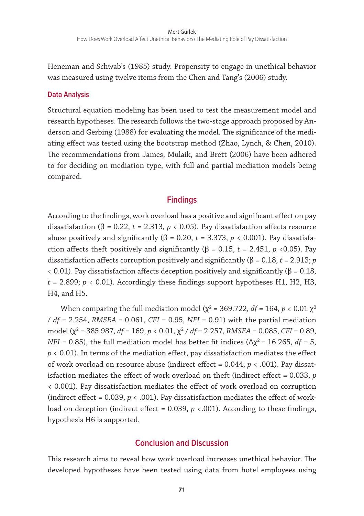Heneman and Schwab's (1985) study. Propensity to engage in unethical behavior was measured using twelve items from the Chen and Tang's (2006) study.

#### **Data Analysis**

Structural equation modeling has been used to test the measurement model and research hypotheses. The research follows the two-stage approach proposed by Anderson and Gerbing (1988) for evaluating the model. The significance of the mediating effect was tested using the bootstrap method (Zhao, Lynch, & Chen, 2010). The recommendations from James, Mulaik, and Brett (2006) have been adhered to for deciding on mediation type, with full and partial mediation models being compared.

## **Findings**

According to the findings, work overload has a positive and significant effect on pay dissatisfaction ( $β = 0.22$ ,  $t = 2.313$ ,  $p < 0.05$ ). Pay dissatisfaction affects resource abuse positively and significantly ( $β = 0.20$ ,  $t = 3.373$ ,  $p < 0.001$ ). Pay dissatisfaction affects theft positively and significantly ( $β = 0.15$ ,  $t = 2.451$ ,  $p \le 0.05$ ). Pay dissatisfaction affects corruption positively and significantly (β = 0.18, *t* = 2.913; *p* < 0.01). Pay dissatisfaction affects deception positively and significantly (β = 0.18,  $t = 2.899$ ;  $p < 0.01$ ). Accordingly these findings support hypotheses H1, H2, H3, H4, and H5.

When comparing the full mediation model ( $\chi^2$  = 369.722,  $df$  = 164,  $p < 0.01 \chi^2$ / *df* = 2.254, *RMSEA* = 0.061, *CFI* = 0.95, *NFI* = 0.91) with the partial mediation model (χ<sup>2</sup> = 385.987, *df* = 169, *p* < 0.01, χ<sup>2</sup> / *df =* 2.257, *RMSEA* = 0.085, *CFI* = 0.89, *NFI* = 0.85), the full mediation model has better fit indices ( $\Delta \chi^2$  = 16.265, *df* = 5, *p* < 0.01). In terms of the mediation effect, pay dissatisfaction mediates the effect of work overload on resource abuse (indirect effect = 0.044, *p* < .001). Pay dissatisfaction mediates the effect of work overload on theft (indirect effect = 0.033, *p* < 0.001). Pay dissatisfaction mediates the effect of work overload on corruption (indirect effect =  $0.039$ ,  $p < .001$ ). Pay dissatisfaction mediates the effect of workload on deception (indirect effect =  $0.039$ ,  $p \lt 0.001$ ). According to these findings, hypothesis H6 is supported.

#### **Conclusion and Discussion**

This research aims to reveal how work overload increases unethical behavior. The developed hypotheses have been tested using data from hotel employees using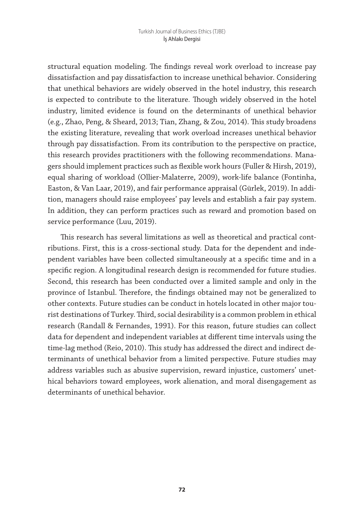structural equation modeling. The findings reveal work overload to increase pay dissatisfaction and pay dissatisfaction to increase unethical behavior. Considering that unethical behaviors are widely observed in the hotel industry, this research is expected to contribute to the literature. Though widely observed in the hotel industry, limited evidence is found on the determinants of unethical behavior (e.g., Zhao, Peng, & Sheard, 2013; Tian, Zhang, & Zou, 2014). This study broadens the existing literature, revealing that work overload increases unethical behavior through pay dissatisfaction. From its contribution to the perspective on practice, this research provides practitioners with the following recommendations. Managers should implement practices such as flexible work hours (Fuller & Hirsh, 2019), equal sharing of workload (Ollier-Malaterre, 2009), work-life balance (Fontinha, Easton, & Van Laar, 2019), and fair performance appraisal (Gürlek, 2019). In addition, managers should raise employees' pay levels and establish a fair pay system. In addition, they can perform practices such as reward and promotion based on service performance (Luu, 2019).

This research has several limitations as well as theoretical and practical contributions. First, this is a cross-sectional study. Data for the dependent and independent variables have been collected simultaneously at a specific time and in a specific region. A longitudinal research design is recommended for future studies. Second, this research has been conducted over a limited sample and only in the province of Istanbul. Therefore, the findings obtained may not be generalized to other contexts. Future studies can be conduct in hotels located in other major tourist destinations of Turkey. Third, social desirability is a common problem in ethical research (Randall & Fernandes, 1991). For this reason, future studies can collect data for dependent and independent variables at different time intervals using the time-lag method (Reio, 2010). This study has addressed the direct and indirect determinants of unethical behavior from a limited perspective. Future studies may address variables such as abusive supervision, reward injustice, customers' unethical behaviors toward employees, work alienation, and moral disengagement as determinants of unethical behavior.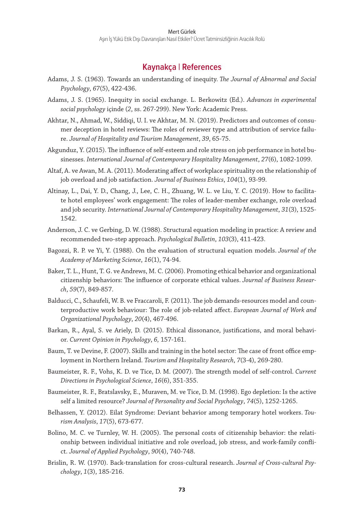#### **Kaynakça | References**

- Adams, J. S. (1963). Towards an understanding of inequity. *The Journal of Abnormal and Social Psychology*, *67*(5), 422-436.
- Adams, J. S. (1965). Inequity in social exchange. L. Berkowitz (Ed.). *Advances in experimental social psychology* içinde (*2*, ss. 267-299). New York: Academic Press.
- Akhtar, N., Ahmad, W., Siddiqi, U. I. ve Akhtar, M. N. (2019). Predictors and outcomes of consumer deception in hotel reviews: The roles of reviewer type and attribution of service failure. *Journal of Hospitality and Tourism Management*, *39*, 65-75.
- Akgunduz, Y. (2015). The influence of self-esteem and role stress on job performance in hotel businesses. *International Journal of Contemporary Hospitality Management*, *27*(6), 1082-1099.
- Altaf, A. ve Awan, M. A. (2011). Moderating affect of workplace spirituality on the relationship of job overload and job satisfaction. *Journal of Business Ethics*, *104*(1), 93-99.
- Altinay, L., Dai, Y. D., Chang, J., Lee, C. H., Zhuang, W. L. ve Liu, Y. C. (2019). How to facilitate hotel employees' work engagement: The roles of leader-member exchange, role overload and job security. *International Journal of Contemporary Hospitality Management*, *31*(3), 1525- 1542.
- Anderson, J. C. ve Gerbing, D. W. (1988). Structural equation modeling in practice: A review and recommended two-step approach. *Psychological Bulletin*, *103*(3), 411-423.
- Bagozzi, R. P. ve Yi, Y. (1988). On the evaluation of structural equation models. *Journal of the Academy of Marketing Science*, *16*(1), 74-94.
- Baker, T. L., Hunt, T. G. ve Andrews, M. C. (2006). Promoting ethical behavior and organizational citizenship behaviors: The influence of corporate ethical values. *Journal of Business Research*, *59*(7), 849-857.
- Balducci, C., Schaufeli, W. B. ve Fraccaroli, F. (2011). The job demands-resources model and counterproductive work behaviour: The role of job-related affect. *European Journal of Work and Organizational Psychology*, *20*(4), 467-496.
- Barkan, R., Ayal, S. ve Ariely, D. (2015). Ethical dissonance, justifications, and moral behavior. *Current Opinion in Psychology*, *6,* 157-161.
- Baum, T. ve Devine, F. (2007). Skills and training in the hotel sector: The case of front office employment in Northern Ireland. *Tourism and Hospitality Research*, *7*(3-4), 269-280.
- Baumeister, R. F., Vohs, K. D. ve Tice, D. M. (2007). The strength model of self-control. *Current Directions in Psychological Science*, *16*(6), 351-355.
- Baumeister, R. F., Bratslavsky, E., Muraven, M. ve Tice, D. M. (1998). Ego depletion: Is the active self a limited resource? *Journal of Personality and Social Psychology*, *74*(5), 1252-1265.
- Belhassen, Y. (2012). Eilat Syndrome: Deviant behavior among temporary hotel workers. *Tourism Analysis*, *17*(5), 673-677.
- Bolino, M. C. ve Turnley, W. H. (2005). The personal costs of citizenship behavior: the relationship between individual initiative and role overload, job stress, and work-family conflict. *Journal of Applied Psychology*, *90*(4), 740-748.
- Brislin, R. W. (1970). Back-translation for cross-cultural research. *Journal of Cross-cultural Psychology*, *1*(3), 185-216.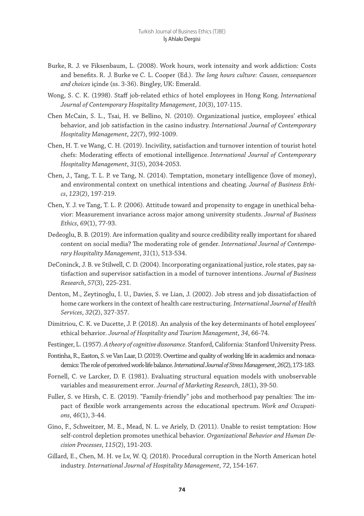- Burke, R. J. ve Fiksenbaum, L. (2008). Work hours, work intensity and work addiction: Costs and benefits. R. J. Burke ve C. L. Cooper (Ed.). *The long hours culture: Causes, consequences and choices* içinde (ss. 3-36). Bingley, UK: Emerald.
- Wong, S. C. K. (1998). Staff job-related ethics of hotel employees in Hong Kong. *International Journal of Contemporary Hospitality Management*, *10*(3), 107-115.
- Chen McCain, S. L., Tsai, H. ve Bellino, N. (2010). Organizational justice, employees' ethical behavior, and job satisfaction in the casino industry. *International Journal of Contemporary Hospitality Management*, *22*(7), 992-1009.
- Chen, H. T. ve Wang, C. H. (2019). Incivility, satisfaction and turnover intention of tourist hotel chefs: Moderating effects of emotional intelligence. *International Journal of Contemporary Hospitality Management*, *31*(5), 2034-2053.
- Chen, J., Tang, T. L. P. ve Tang, N. (2014). Temptation, monetary intelligence (love of money), and environmental context on unethical intentions and cheating. *Journal of Business Ethics*, *123*(2), 197-219.
- Chen, Y. J. ve Tang, T. L. P. (2006). Attitude toward and propensity to engage in unethical behavior: Measurement invariance across major among university students. *Journal of Business Ethics*, *69*(1), 77-93.
- Dedeoglu, B. B. (2019). Are information quality and source credibility really important for shared content on social media? The moderating role of gender. *International Journal of Contemporary Hospitality Management*, *31*(1), 513-534.
- DeConinck, J. B. ve Stilwell, C. D. (2004). Incorporating organizational justice, role states, pay satisfaction and supervisor satisfaction in a model of turnover intentions. *Journal of Business Research*, *57*(3), 225-231.
- Denton, M., Zeytinoglu, I. U., Davies, S. ve Lian, J. (2002). Job stress and job dissatisfaction of home care workers in the context of health care restructuring. *International Journal of Health Services*, *32*(2), 327-357.
- Dimitriou, C. K. ve Ducette, J. P. (2018). An analysis of the key determinants of hotel employees' ethical behavior. *Journal of Hospitality and Tourism Management*, *34*, 66-74.
- Festinger, L. (1957). *A theory of cognitive dissonance*. Stanford, California: Stanford University Press.
- Fontinha, R., Easton, S. ve Van Laar, D. (2019). Overtime and quality of working life in academics and nonacademics: The role of perceived work-life balance.*International Journal of Stress Management*,*26*(2), 173-183.
- Fornell, C. ve Larcker, D. F. (1981). Evaluating structural equation models with unobservable variables and measurement error. *Journal of Marketing Research*, *18*(1), 39-50.
- Fuller, S. ve Hirsh, C. E. (2019). "Family-friendly" jobs and motherhood pay penalties: The impact of flexible work arrangements across the educational spectrum. *Work and Occupations*, *46*(1), 3-44.
- Gino, F., Schweitzer, M. E., Mead, N. L. ve Ariely, D. (2011). Unable to resist temptation: How self-control depletion promotes unethical behavior. *Organizational Behavior and Human Decision Processes*, *115*(2), 191-203.
- Gillard, E., Chen, M. H. ve Lv, W. Q. (2018). Procedural corruption in the North American hotel industry. *International Journal of Hospitality Management*, *72*, 154-167.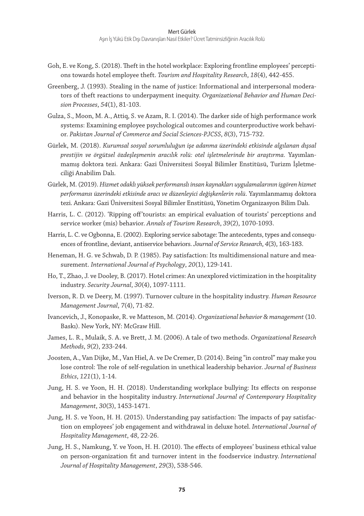- Goh, E. ve Kong, S. (2018). Theft in the hotel workplace: Exploring frontline employees' perceptions towards hotel employee theft. *Tourism and Hospitality Research*, *18*(4), 442-455.
- Greenberg, J. (1993). Stealing in the name of justice: Informational and interpersonal moderators of theft reactions to underpayment inequity. *Organizational Behavior and Human Decision Processes*, *54*(1), 81-103.
- Gulza, S., Moon, M. A., Attiq, S. ve Azam, R. I. (2014). The darker side of high performance work systems: Examining employee psychological outcomes and counterproductive work behavior. *Pakistan Journal of Commerce and Social Sciences-PJCSS*, *8*(3), 715-732.
- Gürlek, M. (2018). *Kurumsal sosyal sorumluluğun işe adanma üzerindeki etkisinde algılanan dışsal prestijin ve örgütsel özdeşleşmenin aracılık rolü: otel işletmelerinde bir araştırma.* Yayımlanmamış doktora tezi. Ankara: Gazi Üniversitesi Sosyal Bilimler Enstitüsü, Turizm İşletmeciliği Anabilim Dalı.
- Gürlek, M. (2019). *Hizmet odaklı yüksek performanslı insan kaynakları uygulamalarının işgören hizmet performansı üzerindeki etkisinde aracı ve düzenleyici değişkenlerin rolü*. Yayımlanmamış doktora tezi. Ankara: Gazi Üniversitesi Sosyal Bilimler Enstitüsü, Yönetim Organizasyon Bilim Dalı.
- Harris, L. C. (2012). 'Ripping off'tourists: an empirical evaluation of tourists' perceptions and service worker (mis) behavior. *Annals of Tourism Research*, *39*(2), 1070-1093.
- Harris, L. C. ve Ogbonna, E. (2002). Exploring service sabotage: The antecedents, types and consequences of frontline, deviant, antiservice behaviors. *Journal of Service Research*, *4*(3), 163-183.
- Heneman, H. G. ve Schwab, D. P. (1985). Pay satisfaction: Its multidimensional nature and measurement. *International Journal of Psychology*, *20*(1), 129-141.
- Ho, T., Zhao, J. ve Dooley, B. (2017). Hotel crimes: An unexplored victimization in the hospitality industry. *Security Journal*, *30*(4), 1097-1111.
- Iverson, R. D. ve Deery, M. (1997). Turnover culture in the hospitality industry. *Human Resource Management Journal*, *7*(4), 71-82.
- Ivancevich, J., Konopaske, R. ve Matteson, M. (2014). *Organizational behavior & management* (10. Baskı). New York, NY: McGraw Hill.
- James, L. R., Mulaik, S. A. ve Brett, J. M. (2006). A tale of two methods. *Organizational Research Methods*, *9*(2), 233-244.
- Joosten, A., Van Dijke, M., Van Hiel, A. ve De Cremer, D. (2014). Being "in control" may make you lose control: The role of self-regulation in unethical leadership behavior. *Journal of Business Ethics*, *121*(1), 1-14.
- Jung, H. S. ve Yoon, H. H. (2018). Understanding workplace bullying: Its effects on response and behavior in the hospitality industry. *International Journal of Contemporary Hospitality Management*, *30*(3), 1453-1471.
- Jung, H. S. ve Yoon, H. H. (2015). Understanding pay satisfaction: The impacts of pay satisfaction on employees' job engagement and withdrawal in deluxe hotel. *International Journal of Hospitality Management*, *48*, 22-26.
- Jung, H. S., Namkung, Y. ve Yoon, H. H. (2010). The effects of employees' business ethical value on person-organization fit and turnover intent in the foodservice industry. *International Journal of Hospitality Management*, *29*(3), 538-546.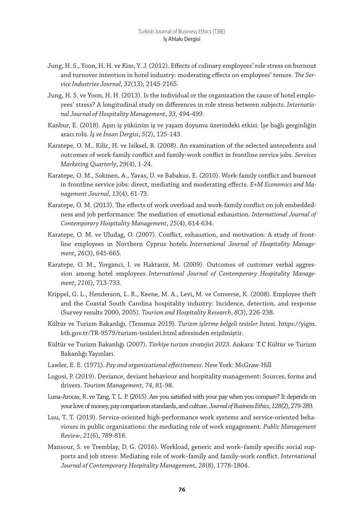- Jung, H. S., Yoon, H. H. ve Kim, Y. J. (2012). Effects of culinary employees' role stress on burnout and turnover intention in hotel industry: moderating effects on employees' tenure. *The Service Industries Journal*, *32*(13), 2145-2165.
- Jung, H. S. ve Yoon, H. H. (2013). Is the individual or the organization the cause of hotel employees' stress? A longitudinal study on differences in role stress between subjects. *International Journal of Hospitality Management*, *33*, 494-499.
- Kanbur, E. (2018). Aşırı iş yükünün iş ve yaşam doyumu üzerindeki etkisi: İşe bağlı gerginliğin aracı rolü. *İş ve İnsan Dergisi*, *5*(2), 125-143.
- Karatepe, O. M., Kilic, H. ve Isiksel, B. (2008). An examination of the selected antecedents and outcomes of work-family conflict and family-work conflict in frontline service jobs. *Services Marketing Quarterly*, *29*(4), 1-24.
- Karatepe, O. M., Sokmen, A., Yavas, U. ve Babakus, E. (2010). Work-family conflict and burnout in frontline service jobs: direct, mediating and moderating effects. *E+M Economics and Management Journal*, *13*(4), 61-73.
- Karatepe, O. M. (2013). The effects of work overload and work-family conflict on job embeddedness and job performance: The mediation of emotional exhaustion. *International Journal of Contemporary Hospitality Management*, *25*(4), 614-634.
- Karatepe, O. M. ve Uludag, O. (2007). Conflict, exhaustion, and motivation: A study of frontline employees in Northern Cyprus hotels. *International Journal of Hospitality Management*, *26*(3), 645-665.
- Karatepe, O. M., Yorganci, I. ve Haktanir, M. (2009). Outcomes of customer verbal aggression among hotel employees. *International Journal of Contemporary Hospitality Management*, *21*(6), 713-733.
- Krippel, G. L., Henderson, L. R., Keene, M. A., Levi, M. ve Converse, K. (2008). Employee theft and the Coastal South Carolina hospitality industry: Incidence, detection, and response (Survey results 2000, 2005). *Tourism and Hospitality Research*, *8*(3), 226-238.
- Kültür ve Turizm Bakanlığı. (Temmuz 2019). *Turizm işletme belgeli tesisler listesi.* https://yigm. ktb.gov.tr/TR-9579/turizm-tesisleri.html adresinden erişilmiştir.
- Kültür ve Turizm Bakanlığı (2007). *Türkiye turizm stratejisi 2023*. Ankara: T.C Kültür ve Turizm Bakanlığı Yayınları.
- Lawler, E. E. (1971). *Pay and organizational effectiveness*. New York: McGraw-Hill
- Lugosi, P. (2019). Deviance, deviant behaviour and hospitality management: Sources, forms and drivers. *Tourism Management*, *74*, 81-98.
- Luna-Arocas, R. ve Tang, T. L. P. (2015). Are you satisfied with your pay when you compare? It depends on your love of money, pay comparison standards, and culture.*Journal of Business Ethics*,*128*(2), 279-289.
- Luu, T. T. (2019). Service-oriented high-performance work systems and service-oriented behaviours in public organizations: the mediating role of work engagement. *Public Management Review*, *21*(6), 789-816.
- Mansour, S. ve Tremblay, D. G. (2016). Workload, generic and work–family specific social supports and job stress: Mediating role of work–family and family-work conflict. *International Journal of Contemporary Hospitality Management*, *28*(8), 1778-1804.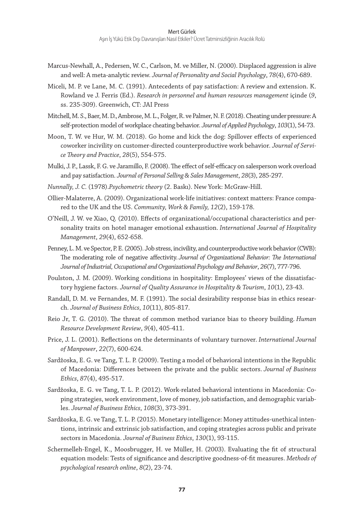- Marcus-Newhall, A., Pedersen, W. C., Carlson, M. ve Miller, N. (2000). Displaced aggression is alive and well: A meta-analytic review. *Journal of Personality and Social Psychology*, *78*(4), 670-689.
- Miceli, M. P. ve Lane, M. C. (1991). Antecedents of pay satisfaction: A review and extension. K. Rowland ve J. Ferris (Ed.). *Research in personnel and human resources management* içinde (*9*, ss. 235-309). Greenwich, CT: JAI Press
- Mitchell, M. S., Baer, M. D., Ambrose, M. L., Folger, R. ve Palmer, N. F. (2018). Cheating under pressure: A self-protection model of workplace cheating behavior. *Journal of Applied Psychology*, *103*(1), 54-73.
- Moon, T. W. ve Hur, W. M. (2018). Go home and kick the dog: Spillover effects of experienced coworker incivility on customer-directed counterproductive work behavior. *Journal of Service Theory and Practice*, *28*(5), 554-575.
- Mulki, J. P., Lassk, F. G. ve Jaramillo, F. (2008). The effect of self-efficacy on salesperson work overload and pay satisfaction. *Journal of Personal Selling & Sales Management*, *28*(3), 285-297.
- *Nunnally, J. C.* (1978).*Psychometric theory* (2. Baskı). New York: McGraw-Hill.
- Ollier-Malaterre, A. (2009). Organizational work-life initiatives: context matters: France compared to the UK and the US. *Community, Work & Family, 12*(2), 159-178.
- O'Neill, J. W. ve Xiao, Q. (2010). Effects of organizational/occupational characteristics and personality traits on hotel manager emotional exhaustion. *International Journal of Hospitality Management*, *29*(4), 652-658.
- Penney, L. M. ve Spector, P. E. (2005). Job stress, incivility, and counterproductive work behavior (CWB): The moderating role of negative affectivity. *Journal of Organizational Behavior: The International Journal of Industrial, Occupational and Organizational Psychology and Behavior*, *26*(7), 777-796.
- Poulston, J. M. (2009). Working conditions in hospitality: Employees' views of the dissatisfactory hygiene factors. *Journal of Quality Assurance in Hospitality & Tourism*, *10*(1), 23-43.
- Randall, D. M. ve Fernandes, M. F. (1991). The social desirability response bias in ethics research. *Journal of Business Ethics*, *10*(11), 805-817.
- Reio Jr, T. G. (2010). The threat of common method variance bias to theory building. *Human Resource Development Review*, *9*(4), 405-411.
- Price, J. L. (2001). Reflections on the determinants of voluntary turnover. *International Journal of Manpower*, *22*(7), 600-624.
- Sardžoska, E. G. ve Tang, T. L. P. (2009). Testing a model of behavioral intentions in the Republic of Macedonia: Differences between the private and the public sectors. *Journal of Business Ethics*, *87*(4), 495-517.
- Sardžoska, E. G. ve Tang, T. L. P. (2012). Work-related behavioral intentions in Macedonia: Coping strategies, work environment, love of money, job satisfaction, and demographic variables. *Journal of Business Ethics*, *108*(3), 373-391.
- Sardžoska, E. G. ve Tang, T. L. P. (2015). Monetary intelligence: Money attitudes-unethical intentions, intrinsic and extrinsic job satisfaction, and coping strategies across public and private sectors in Macedonia. *Journal of Business Ethics*, *130*(1), 93-115.
- Schermelleh-Engel, K., Moosbrugger, H. ve Müller, H. (2003). Evaluating the fit of structural equation models: Tests of significance and descriptive goodness-of-fit measures. *Methods of psychological research online*, *8*(2), 23-74.